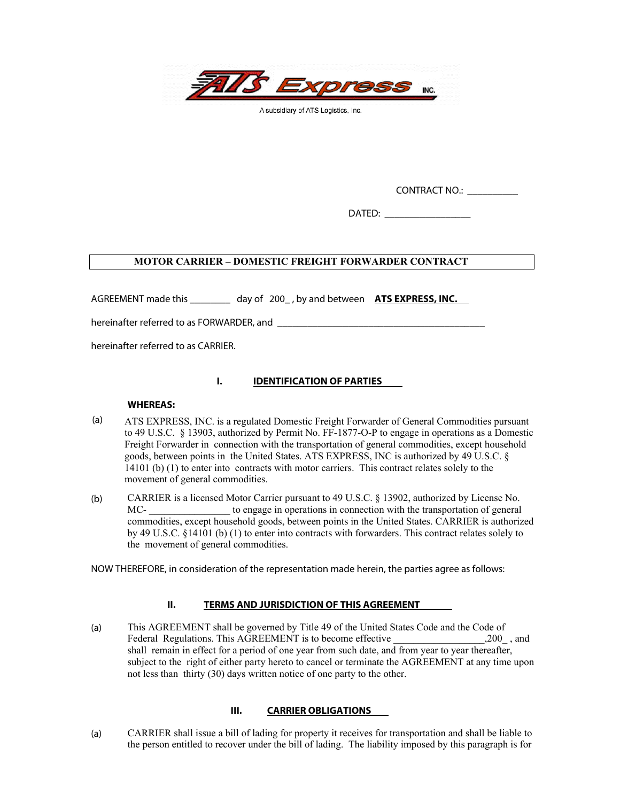

A subsidiary of ATS Logistics, Inc.

CONTRACT NO.: \_\_\_\_\_\_\_\_\_\_

 $\blacksquare$   $\blacksquare$   $\blacksquare$   $\blacksquare$   $\blacksquare$   $\blacksquare$   $\blacksquare$   $\blacksquare$   $\blacksquare$   $\blacksquare$   $\blacksquare$   $\blacksquare$   $\blacksquare$   $\blacksquare$   $\blacksquare$   $\blacksquare$   $\blacksquare$   $\blacksquare$   $\blacksquare$   $\blacksquare$   $\blacksquare$   $\blacksquare$   $\blacksquare$   $\blacksquare$   $\blacksquare$   $\blacksquare$   $\blacksquare$   $\blacksquare$   $\blacksquare$   $\blacksquare$   $\blacksquare$   $\blacks$ 

# **MOTOR CARRIER – DOMESTIC FREIGHT FORWARDER CONTRACT**

AGREEMENT made this \_\_\_\_\_\_\_\_ day of 200\_ , by and between **ATS EXPRESS, INC.** 

hereinafter referred to as FORWARDER, and \_\_\_\_\_\_\_\_\_\_\_\_\_\_\_\_\_\_\_\_\_\_\_\_\_\_\_\_\_\_\_\_\_\_\_\_\_\_\_\_\_

hereinafter referred to as CARRIER.

# **I. IDENTIFICATION OF PARTIES**

## **WHEREAS:**

- (a) ATS EXPRESS, INC. is a regulated Domestic Freight Forwarder of General Commodities pursuant to 49 U.S.C. § 13903, authorized by Permit No. FF-1877-O-P to engage in operations as a Domestic Freight Forwarder in connection with the transportation of general commodities, except household goods, between points in the United States. ATS EXPRESS, INC is authorized by 49 U.S.C. § 14101 (b) (1) to enter into contracts with motor carriers. This contract relates solely to the movement of general commodities.
- (b) CARRIER is a licensed Motor Carrier pursuant to 49 U.S.C. § 13902, authorized by License No. MC- to engage in operations in connection with the transportation of general commodities, except household goods, between points in the United States. CARRIER is authorized by 49 U.S.C. §14101 (b) (1) to enter into contracts with forwarders. This contract relates solely to the movement of general commodities.

NOW THEREFORE, in consideration of the representation made herein, the parties agree as follows:

# **II. TERMS AND JURISDICTION OF THIS AGREEMENT**

(a) This AGREEMENT shall be governed by Title 49 of the United States Code and the Code of Federal Regulations. This AGREEMENT is to become effective \_\_\_\_\_\_\_\_\_\_\_\_\_\_\_\_\_\_\_\_,200\_, and shall remain in effect for a period of one year from such date, and from year to year thereafter, subject to the right of either party hereto to cancel or terminate the AGREEMENT at any time upon not less than thirty (30) days written notice of one party to the other.

# **III. CARRIER OBLIGATIONS**

(a) CARRIER shall issue a bill of lading for property it receives for transportation and shall be liable to the person entitled to recover under the bill of lading. The liability imposed by this paragraph is for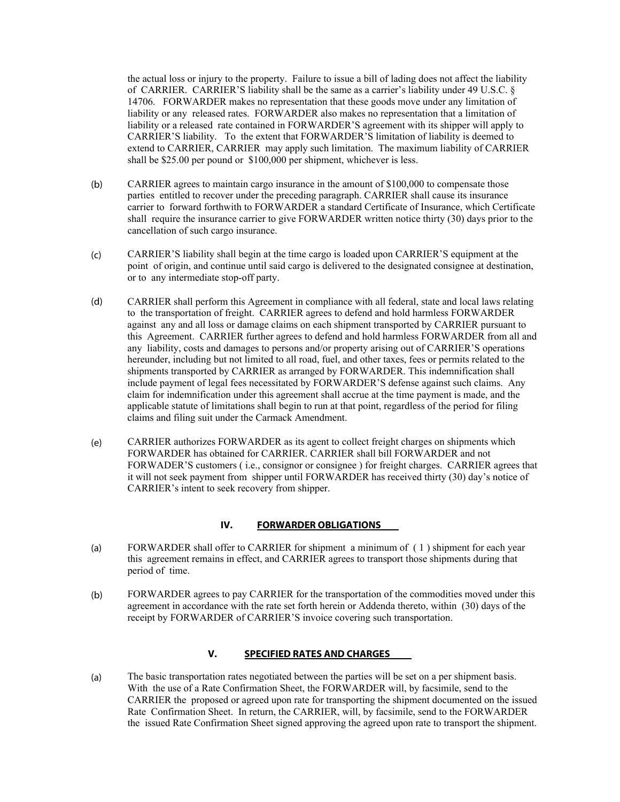the actual loss or injury to the property. Failure to issue a bill of lading does not affect the liability of CARRIER. CARRIER'S liability shall be the same as a carrier's liability under 49 U.S.C. § 14706. FORWARDER makes no representation that these goods move under any limitation of liability or any released rates. FORWARDER also makes no representation that a limitation of liability or a released rate contained in FORWARDER'S agreement with its shipper will apply to CARRIER'S liability. To the extent that FORWARDER'S limitation of liability is deemed to extend to CARRIER, CARRIER may apply such limitation. The maximum liability of CARRIER shall be \$25.00 per pound or \$100,000 per shipment, whichever is less.

- (b) CARRIER agrees to maintain cargo insurance in the amount of \$100,000 to compensate those parties entitled to recover under the preceding paragraph. CARRIER shall cause its insurance carrier to forward forthwith to FORWARDER a standard Certificate of Insurance, which Certificate shall require the insurance carrier to give FORWARDER written notice thirty (30) days prior to the cancellation of such cargo insurance.
- (c) CARRIER'S liability shall begin at the time cargo is loaded upon CARRIER'S equipment at the point of origin, and continue until said cargo is delivered to the designated consignee at destination, or to any intermediate stop-off party.
- (d) CARRIER shall perform this Agreement in compliance with all federal, state and local laws relating to the transportation of freight. CARRIER agrees to defend and hold harmless FORWARDER against any and all loss or damage claims on each shipment transported by CARRIER pursuant to this Agreement. CARRIER further agrees to defend and hold harmless FORWARDER from all and any liability, costs and damages to persons and/or property arising out of CARRIER'S operations hereunder, including but not limited to all road, fuel, and other taxes, fees or permits related to the shipments transported by CARRIER as arranged by FORWARDER. This indemnification shall include payment of legal fees necessitated by FORWARDER'S defense against such claims. Any claim for indemnification under this agreement shall accrue at the time payment is made, and the applicable statute of limitations shall begin to run at that point, regardless of the period for filing claims and filing suit under the Carmack Amendment.
- (e) CARRIER authorizes FORWARDER as its agent to collect freight charges on shipments which FORWARDER has obtained for CARRIER. CARRIER shall bill FORWARDER and not FORWADER'S customers ( i.e., consignor or consignee ) for freight charges. CARRIER agrees that it will not seek payment from shipper until FORWARDER has received thirty (30) day's notice of CARRIER's intent to seek recovery from shipper.

# **IV. FORWARDER OBLIGATIONS**

- (a) FORWARDER shall offer to CARRIER for shipment a minimum of ( 1 ) shipment for each year this agreement remains in effect, and CARRIER agrees to transport those shipments during that period of time.
- (b) FORWARDER agrees to pay CARRIER for the transportation of the commodities moved under this agreement in accordance with the rate set forth herein or Addenda thereto, within (30) days of the receipt by FORWARDER of CARRIER'S invoice covering such transportation.

# **V. SPECIFIED RATES AND CHARGES**

(a) The basic transportation rates negotiated between the parties will be set on a per shipment basis. With the use of a Rate Confirmation Sheet, the FORWARDER will, by facsimile, send to the CARRIER the proposed or agreed upon rate for transporting the shipment documented on the issued Rate Confirmation Sheet. In return, the CARRIER, will, by facsimile, send to the FORWARDER the issued Rate Confirmation Sheet signed approving the agreed upon rate to transport the shipment.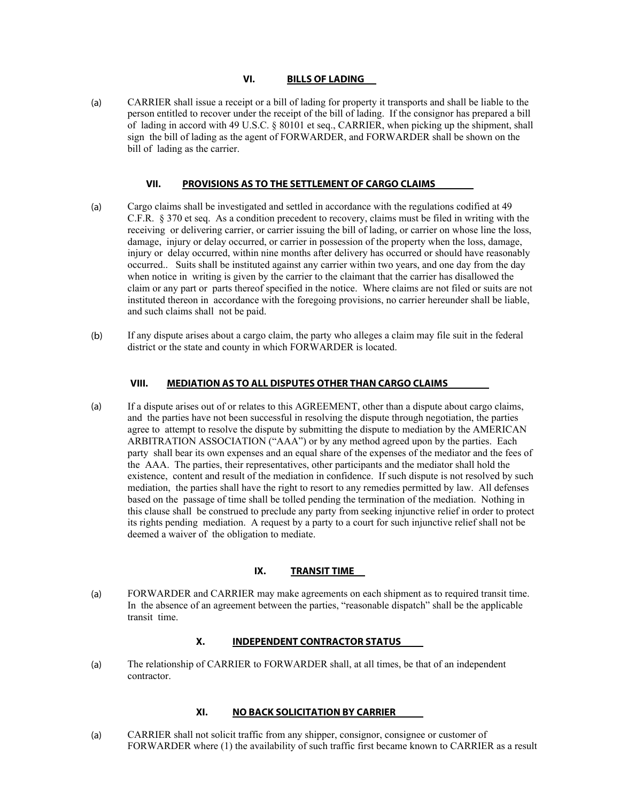# **VI. BILLS OF LADING**

(a) CARRIER shall issue a receipt or a bill of lading for property it transports and shall be liable to the person entitled to recover under the receipt of the bill of lading. If the consignor has prepared a bill of lading in accord with 49 U.S.C. § 80101 et seq., CARRIER, when picking up the shipment, shall sign the bill of lading as the agent of FORWARDER, and FORWARDER shall be shown on the bill of lading as the carrier.

#### **VII. PROVISIONS AS TO THE SETTLEMENT OF CARGO CLAIMS**

- (a) Cargo claims shall be investigated and settled in accordance with the regulations codified at 49 C.F.R. § 370 et seq. As a condition precedent to recovery, claims must be filed in writing with the receiving or delivering carrier, or carrier issuing the bill of lading, or carrier on whose line the loss, damage, injury or delay occurred, or carrier in possession of the property when the loss, damage, injury or delay occurred, within nine months after delivery has occurred or should have reasonably occurred.. Suits shall be instituted against any carrier within two years, and one day from the day when notice in writing is given by the carrier to the claimant that the carrier has disallowed the claim or any part or parts thereof specified in the notice. Where claims are not filed or suits are not instituted thereon in accordance with the foregoing provisions, no carrier hereunder shall be liable, and such claims shall not be paid.
- (b) If any dispute arises about a cargo claim, the party who alleges a claim may file suit in the federal district or the state and county in which FORWARDER is located.

#### **VIII. MEDIATION AS TO ALL DISPUTES OTHER THAN CARGO CLAIMS**

(a) If a dispute arises out of or relates to this AGREEMENT, other than a dispute about cargo claims, and the parties have not been successful in resolving the dispute through negotiation, the parties agree to attempt to resolve the dispute by submitting the dispute to mediation by the AMERICAN ARBITRATION ASSOCIATION ("AAA") or by any method agreed upon by the parties. Each party shall bear its own expenses and an equal share of the expenses of the mediator and the fees of the AAA. The parties, their representatives, other participants and the mediator shall hold the existence, content and result of the mediation in confidence. If such dispute is not resolved by such mediation, the parties shall have the right to resort to any remedies permitted by law. All defenses based on the passage of time shall be tolled pending the termination of the mediation. Nothing in this clause shall be construed to preclude any party from seeking injunctive relief in order to protect its rights pending mediation. A request by a party to a court for such injunctive relief shall not be deemed a waiver of the obligation to mediate.

#### **IX. TRANSIT TIME**

(a) FORWARDER and CARRIER may make agreements on each shipment as to required transit time. In the absence of an agreement between the parties, "reasonable dispatch" shall be the applicable transit time.

#### **X. INDEPENDENT CONTRACTOR STATUS**

(a) The relationship of CARRIER to FORWARDER shall, at all times, be that of an independent contractor.

## **XI. NO BACK SOLICITATION BY CARRIER**

(a) CARRIER shall not solicit traffic from any shipper, consignor, consignee or customer of FORWARDER where (1) the availability of such traffic first became known to CARRIER as a result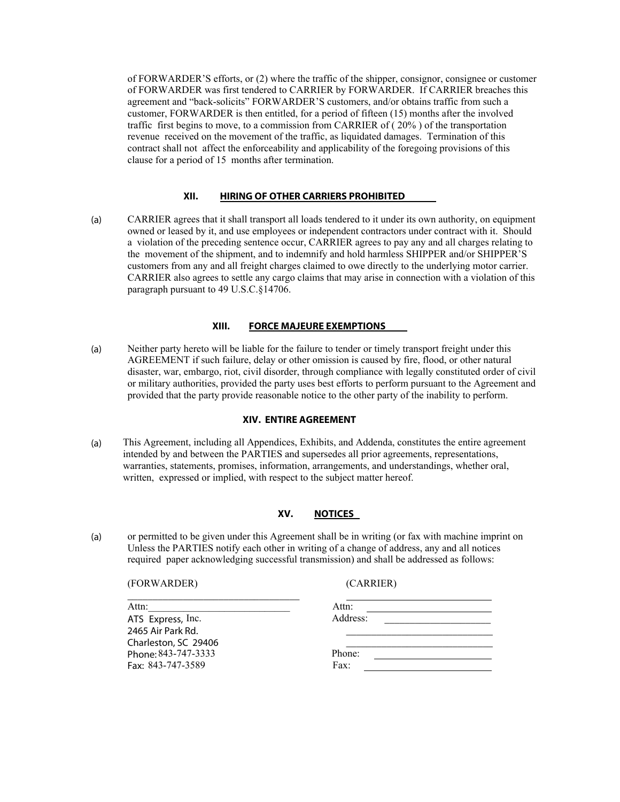of FORWARDER'S efforts, or (2) where the traffic of the shipper, consignor, consignee or customer of FORWARDER was first tendered to CARRIER by FORWARDER. If CARRIER breaches this agreement and "back-solicits" FORWARDER'S customers, and/or obtains traffic from such a customer, FORWARDER is then entitled, for a period of fifteen (15) months after the involved traffic first begins to move, to a commission from CARRIER of ( 20% ) of the transportation revenue received on the movement of the traffic, as liquidated damages. Termination of this contract shall not affect the enforceability and applicability of the foregoing provisions of this clause for a period of 15 months after termination.

#### **XII. HIRING OF OTHER CARRIERS PROHIBITED**

(a) CARRIER agrees that it shall transport all loads tendered to it under its own authority, on equipment owned or leased by it, and use employees or independent contractors under contract with it. Should a violation of the preceding sentence occur, CARRIER agrees to pay any and all charges relating to the movement of the shipment, and to indemnify and hold harmless SHIPPER and/or SHIPPER'S customers from any and all freight charges claimed to owe directly to the underlying motor carrier. CARRIER also agrees to settle any cargo claims that may arise in connection with a violation of this paragraph pursuant to 49 U.S.C.§14706.

# **XIII. FORCE MAJEURE EXEMPTIONS**

(a) Neither party hereto will be liable for the failure to tender or timely transport freight under this AGREEMENT if such failure, delay or other omission is caused by fire, flood, or other natural disaster, war, embargo, riot, civil disorder, through compliance with legally constituted order of civil or military authorities, provided the party uses best efforts to perform pursuant to the Agreement and provided that the party provide reasonable notice to the other party of the inability to perform.

#### **XIV. ENTIRE AGREEMENT**

(a) This Agreement, including all Appendices, Exhibits, and Addenda, constitutes the entire agreement intended by and between the PARTIES and supersedes all prior agreements, representations, warranties, statements, promises, information, arrangements, and understandings, whether oral, written, expressed or implied, with respect to the subject matter hereof.

# **XV. NOTICES**

(a) or permitted to be given under this Agreement shall be in writing (or fax with machine imprint on Unless the PARTIES notify each other in writing of a change of address, any and all notices required paper acknowledging successful transmission) and shall be addressed as follows:

(FORWARDER) (CARRIER)

| Attn:                | Attn:    |  |
|----------------------|----------|--|
| ATS Express, Inc.    | Address: |  |
| 2465 Air Park Rd.    |          |  |
| Charleston, SC 29406 |          |  |
| Phone: 843-747-3333  | Phone:   |  |
| Fax: 843-747-3589    | Fax:     |  |